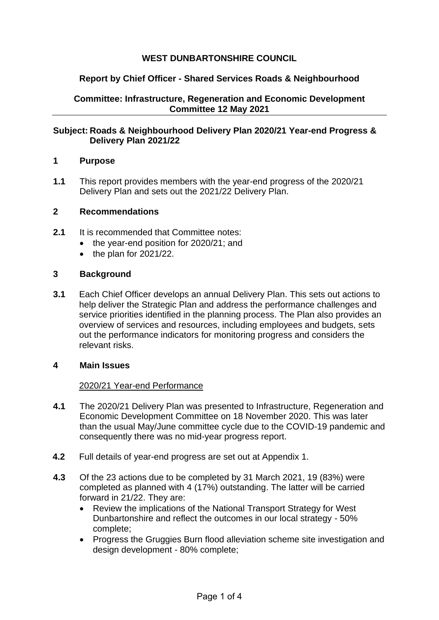# **WEST DUNBARTONSHIRE COUNCIL**

## **Report by Chief Officer - Shared Services Roads & Neighbourhood**

**Committee: Infrastructure, Regeneration and Economic Development Committee 12 May 2021**

### **Subject: Roads & Neighbourhood Delivery Plan 2020/21 Year-end Progress & Delivery Plan 2021/22**

### **1 Purpose**

**1.1** This report provides members with the year-end progress of the 2020/21 Delivery Plan and sets out the 2021/22 Delivery Plan.

### **2 Recommendations**

- **2.1** It is recommended that Committee notes:
	- the year-end position for 2020/21; and
	- $\bullet$  the plan for 2021/22.

### **3 Background**

**3.1** Each Chief Officer develops an annual Delivery Plan. This sets out actions to help deliver the Strategic Plan and address the performance challenges and service priorities identified in the planning process. The Plan also provides an overview of services and resources, including employees and budgets, sets out the performance indicators for monitoring progress and considers the relevant risks.

#### **4 Main Issues**

#### 2020/21 Year-end Performance

- **4.1** The 2020/21 Delivery Plan was presented to Infrastructure, Regeneration and Economic Development Committee on 18 November 2020. This was later than the usual May/June committee cycle due to the COVID-19 pandemic and consequently there was no mid-year progress report.
- **4.2** Full details of year-end progress are set out at Appendix 1.
- **4.3** Of the 23 actions due to be completed by 31 March 2021, 19 (83%) were completed as planned with 4 (17%) outstanding. The latter will be carried forward in 21/22. They are:
	- Review the implications of the National Transport Strategy for West Dunbartonshire and reflect the outcomes in our local strategy - 50% complete;
	- Progress the Gruggies Burn flood alleviation scheme site investigation and design development - 80% complete;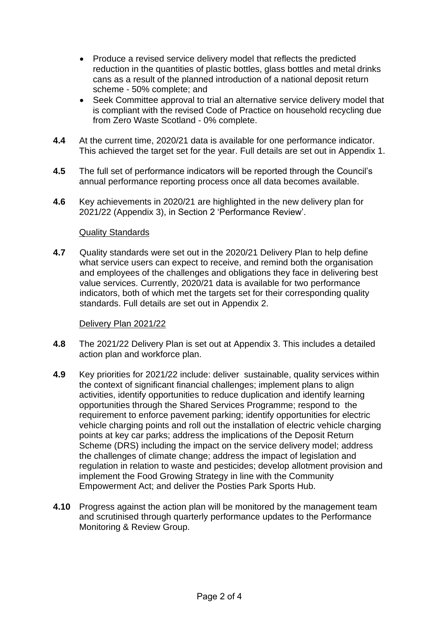- Produce a revised service delivery model that reflects the predicted reduction in the quantities of plastic bottles, glass bottles and metal drinks cans as a result of the planned introduction of a national deposit return scheme - 50% complete; and
- Seek Committee approval to trial an alternative service delivery model that is compliant with the revised Code of Practice on household recycling due from Zero Waste Scotland - 0% complete.
- **4.4** At the current time, 2020/21 data is available for one performance indicator. This achieved the target set for the year. Full details are set out in Appendix 1.
- **4.5** The full set of performance indicators will be reported through the Council's annual performance reporting process once all data becomes available.
- **4.6** Key achievements in 2020/21 are highlighted in the new delivery plan for 2021/22 (Appendix 3), in Section 2 'Performance Review'.

### Quality Standards

**4.7** Quality standards were set out in the 2020/21 Delivery Plan to help define what service users can expect to receive, and remind both the organisation and employees of the challenges and obligations they face in delivering best value services. Currently, 2020/21 data is available for two performance indicators, both of which met the targets set for their corresponding quality standards. Full details are set out in Appendix 2.

## Delivery Plan 2021/22

- **4.8** The 2021/22 Delivery Plan is set out at Appendix 3. This includes a detailed action plan and workforce plan.
- **4.9** Key priorities for 2021/22 include: deliver sustainable, quality services within the context of significant financial challenges; implement plans to align activities, identify opportunities to reduce duplication and identify learning opportunities through the Shared Services Programme; respond to the requirement to enforce pavement parking; identify opportunities for electric vehicle charging points and roll out the installation of electric vehicle charging points at key car parks; address the implications of the Deposit Return Scheme (DRS) including the impact on the service delivery model; address the challenges of climate change; address the impact of legislation and regulation in relation to waste and pesticides; develop allotment provision and implement the Food Growing Strategy in line with the Community Empowerment Act; and deliver the Posties Park Sports Hub.
- **4.10** Progress against the action plan will be monitored by the management team and scrutinised through quarterly performance updates to the Performance Monitoring & Review Group.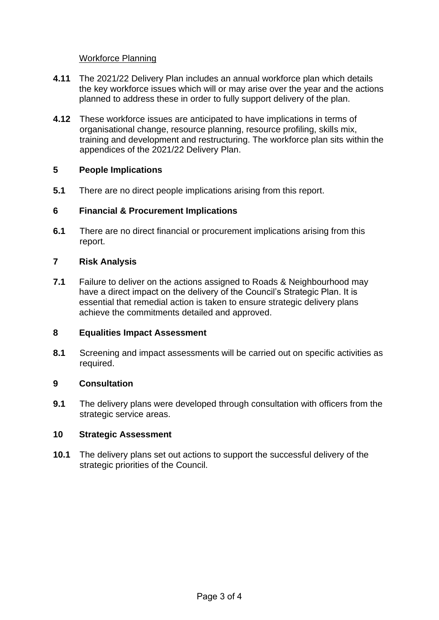# Workforce Planning

- **4.11** The 2021/22 Delivery Plan includes an annual workforce plan which details the key workforce issues which will or may arise over the year and the actions planned to address these in order to fully support delivery of the plan.
- **4.12** These workforce issues are anticipated to have implications in terms of organisational change, resource planning, resource profiling, skills mix, training and development and restructuring. The workforce plan sits within the appendices of the 2021/22 Delivery Plan.

# **5 People Implications**

**5.1** There are no direct people implications arising from this report.

# **6 Financial & Procurement Implications**

**6.1** There are no direct financial or procurement implications arising from this report.

# **7 Risk Analysis**

**7.1** Failure to deliver on the actions assigned to Roads & Neighbourhood may have a direct impact on the delivery of the Council's Strategic Plan. It is essential that remedial action is taken to ensure strategic delivery plans achieve the commitments detailed and approved.

## **8 Equalities Impact Assessment**

**8.1** Screening and impact assessments will be carried out on specific activities as required.

## **9 Consultation**

**9.1** The delivery plans were developed through consultation with officers from the strategic service areas.

## **10 Strategic Assessment**

**10.1** The delivery plans set out actions to support the successful delivery of the strategic priorities of the Council.